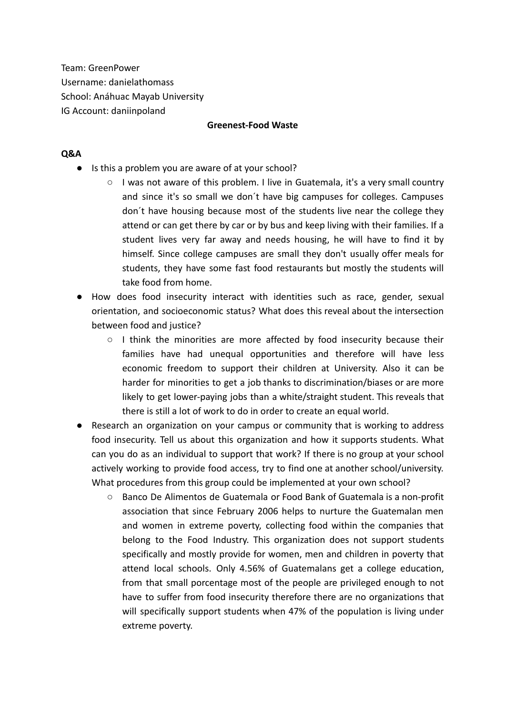Team: GreenPower Username: danielathomass School: Anáhuac Mayab University IG Account: daniinpoland

### **Greenest-Food Waste**

### **Q&A**

- Is this a problem you are aware of at your school?
	- I was not aware of this problem. I live in Guatemala, it's a very small country and since it's so small we don´t have big campuses for colleges. Campuses don´t have housing because most of the students live near the college they attend or can get there by car or by bus and keep living with their families. If a student lives very far away and needs housing, he will have to find it by himself. Since college campuses are small they don't usually offer meals for students, they have some fast food restaurants but mostly the students will take food from home.
- How does food insecurity interact with identities such as race, gender, sexual orientation, and socioeconomic status? What does this reveal about the intersection between food and justice?
	- $\circ$  I think the minorities are more affected by food insecurity because their families have had unequal opportunities and therefore will have less economic freedom to support their children at University. Also it can be harder for minorities to get a job thanks to discrimination/biases or are more likely to get lower-paying jobs than a white/straight student. This reveals that there is still a lot of work to do in order to create an equal world.
- Research an organization on your campus or community that is working to address food insecurity. Tell us about this organization and how it supports students. What can you do as an individual to support that work? If there is no group at your school actively working to provide food access, try to find one at another school/university. What procedures from this group could be implemented at your own school?
	- Banco De Alimentos de Guatemala or Food Bank of Guatemala is a non-profit association that since February 2006 helps to nurture the Guatemalan men and women in extreme poverty, collecting food within the companies that belong to the Food Industry. This organization does not support students specifically and mostly provide for women, men and children in poverty that attend local schools. Only 4.56% of Guatemalans get a college education, from that small porcentage most of the people are privileged enough to not have to suffer from food insecurity therefore there are no organizations that will specifically support students when 47% of the population is living under extreme poverty.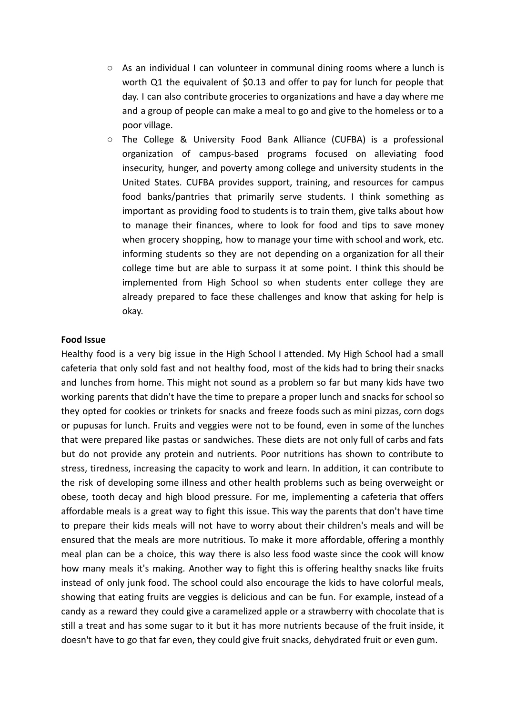- As an individual I can volunteer in communal dining rooms where a lunch is worth Q1 the equivalent of \$0.13 and offer to pay for lunch for people that day. I can also contribute groceries to organizations and have a day where me and a group of people can make a meal to go and give to the homeless or to a poor village.
- The College & University Food Bank Alliance (CUFBA) is a professional organization of campus-based programs focused on alleviating food insecurity, hunger, and poverty among college and university students in the United States. CUFBA provides support, training, and resources for campus food banks/pantries that primarily serve students. I think something as important as providing food to students is to train them, give talks about how to manage their finances, where to look for food and tips to save money when grocery shopping, how to manage your time with school and work, etc. informing students so they are not depending on a organization for all their college time but are able to surpass it at some point. I think this should be implemented from High School so when students enter college they are already prepared to face these challenges and know that asking for help is okay.

### **Food Issue**

Healthy food is a very big issue in the High School I attended. My High School had a small cafeteria that only sold fast and not healthy food, most of the kids had to bring their snacks and lunches from home. This might not sound as a problem so far but many kids have two working parents that didn't have the time to prepare a proper lunch and snacks for school so they opted for cookies or trinkets for snacks and freeze foods such as mini pizzas, corn dogs or pupusas for lunch. Fruits and veggies were not to be found, even in some of the lunches that were prepared like pastas or sandwiches. These diets are not only full of carbs and fats but do not provide any protein and nutrients. Poor nutritions has shown to contribute to stress, tiredness, increasing the capacity to work and learn. In addition, it can contribute to the risk of developing some illness and other health problems such as being overweight or obese, tooth decay and high blood pressure. For me, implementing a cafeteria that offers affordable meals is a great way to fight this issue. This way the parents that don't have time to prepare their kids meals will not have to worry about their children's meals and will be ensured that the meals are more nutritious. To make it more affordable, offering a monthly meal plan can be a choice, this way there is also less food waste since the cook will know how many meals it's making. Another way to fight this is offering healthy snacks like fruits instead of only junk food. The school could also encourage the kids to have colorful meals, showing that eating fruits are veggies is delicious and can be fun. For example, instead of a candy as a reward they could give a caramelized apple or a strawberry with chocolate that is still a treat and has some sugar to it but it has more nutrients because of the fruit inside, it doesn't have to go that far even, they could give fruit snacks, dehydrated fruit or even gum.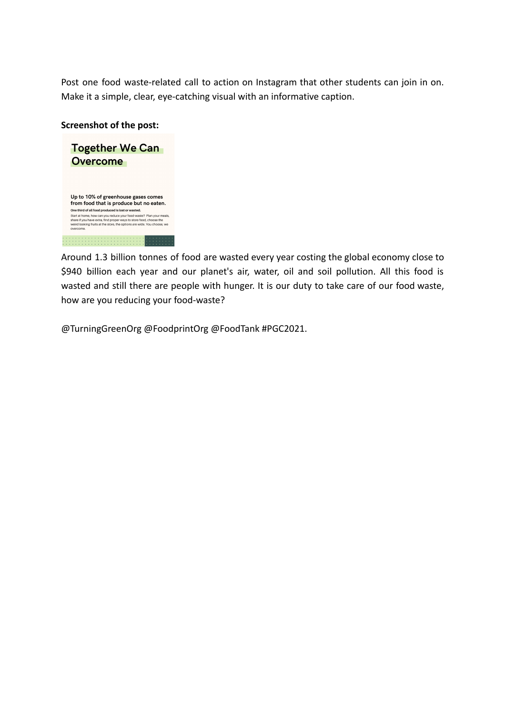Post one food waste-related call to action on Instagram that other students can join in on. Make it a simple, clear, eye-catching visual with an informative caption.

## **Screenshot of the post:**



Around 1.3 billion tonnes of food are wasted every year costing the global economy close to \$940 billion each year and our planet's air, water, oil and soil pollution. All this food is wasted and still there are people with hunger. It is our duty to take care of our food waste, how are you reducing your food-waste?

@TurningGreenOrg @FoodprintOrg @FoodTank #PGC2021.